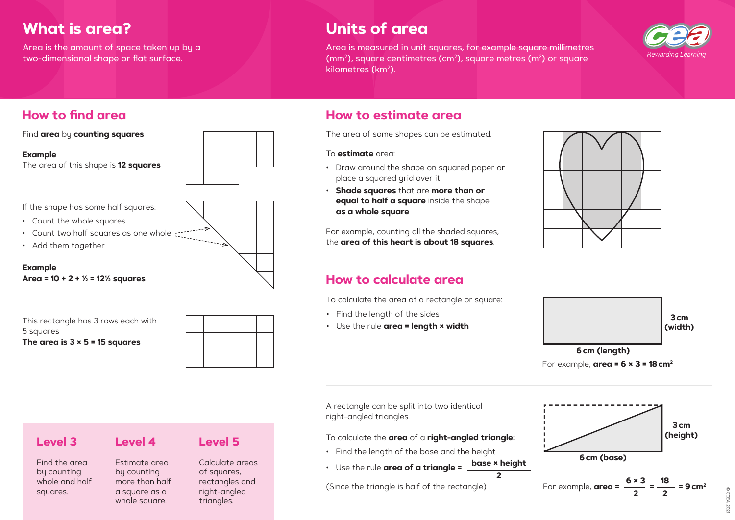# **What is area?**

## **How to find area How to estimate area**

## **How to calculate area**

Area is measured in unit squares, for example square millimetres ( $mm<sup>2</sup>$ ), square centimetres ( $cm<sup>2</sup>$ ), square metres ( $m<sup>2</sup>$ ) or square kilometres (km<sup>2</sup>).

Area is the amount of space taken up by a two-dimensional shape or flat surface.

# **Units of area**

#### Find **area** by **counting squares**

#### **Example**

The area of this shape is **12 squares**



If the shape has some half squares:

- Count the whole squares
- Count two half squares as one whole ===========
- Add them together

#### **Example**

**Area = 10 + 2 + ½ = 12½ squares**

| The area is $3 \times 5 = 15$ squares |
|---------------------------------------|
| 5 squares                             |
| This rectangle has 3 rows each with   |

The area of some shapes can be estimated.

To **estimate** area:

- Draw around the shape on squared paper or place a squared grid over it
- **Shade squares** that are **more than or equal to half a square** inside the shape **as a whole square**

For example, counting all the shaded squares, the **area of this heart is about 18 squares**.

A rectangle can be split into two identical right-angled triangles.

To calculate the **area** of a **right-angled triangle:**

- Find the length of the base and the height
- Use the rule **area of a triangle = base × height**

(Since the triangle is half of the rectangle)



### **6cm (length)**



**Level 3**

#### Find the area by counting whole and half squares.

**Level 4**

#### Estimate area by counting more than half a square as a whole square.

## **Level 5**

Calculate areas of squares, rectangles and right-angled triangles.





For example, **area = 6 × 3 = 18cm2**

To calculate the area of a rectangle or square:

- Find the length of the sides
- Use the rule **area = length × width**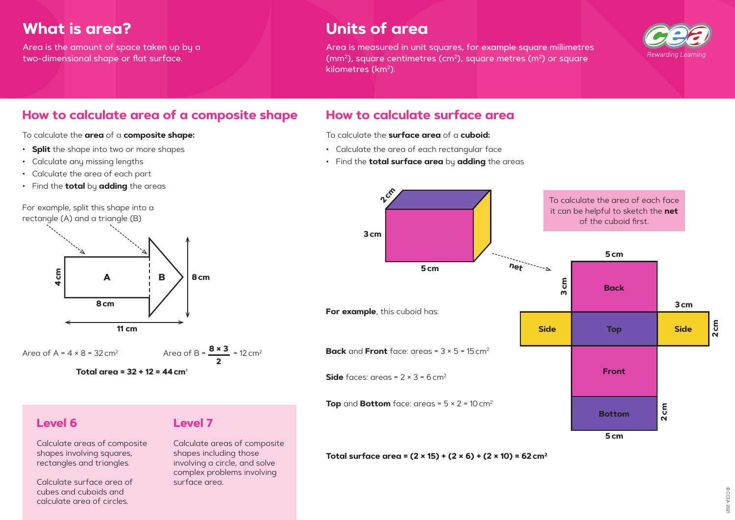## **How to calculate surface area**

To calculate the **surface area** of a **cuboid:**

- Calculate the area of each rectangular face
- Find the **total surface area** by **adding** the areas

**For example**, this cuboid has:

**Back** and **Front** face: areas = 3 × 5 = 15cm2

**Side** faces: areas =  $2 \times 3 = 6$  cm<sup>2</sup>

**Top** and **Bottom** face: areas =  $5 \times 2 = 10 \text{ cm}^2$ 

**Total surface area = (2 × 15) + (2 × 6) + (2 × 10) = 62cm2**



## **How to calculate area of a composite shape**



#### To calculate the area of each face it can be helpful to sketch the **net** of the cuboid first.





To calculate the **area** of a **composite shape:**

Area is measured in unit squares, for example square millimetres ( $mm<sup>2</sup>$ ), square centimetres ( $cm<sup>2</sup>$ ), square metres ( $m<sup>2</sup>$ ) or square kilometres (km<sup>2</sup>).

- **Split** the shape into two or more shapes
- Calculate any missing lengths
- Calculate the area of each part
- Find the **total** by **adding** the areas

For example, split this shape into a rectangle (A) and a triangle (B)



**Total area = 32 + 12 = 44cm**²

# **What is area? Units of area**

### **Level 6**

Calculate areas of composite shapes involving squares, rectangles and triangles.

Calculate surface area of cubes and cuboids and calculate area of circles.



### **Level 7**

Calculate areas of composite shapes including those involving a circle, and solve complex problems involving surface area.

Area is the amount of space taken up by a two-dimensional shape or flat surface.